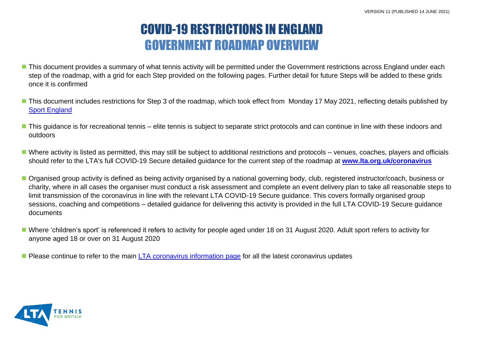# COVID-19 RESTRICTIONS IN ENGLAND GOVERNMENT ROADMAP OVERVIEW

- This document provides a summary of what tennis activity will be permitted under the Government restrictions across England under each step of the roadmap, with a grid for each Step provided on the following pages. Further detail for future Steps will be added to these grids once it is confirmed
- This document includes restrictions for Step 3 of the roadmap, which took effect from Monday 17 May 2021, reflecting details published by **[Sport England](https://www.sportengland.org/how-we-can-help/coronavirus/return-play/frequently-asked-questions-national-coronavirus?section=step_3_-_no_earlier_than_17_may)**
- This guidance is for recreational tennis elite tennis is subject to separate strict protocols and can continue in line with these indoors and outdoors
- Where activity is listed as permitted, this may still be subject to additional restrictions and protocols venues, coaches, players and officials should refer to the LTA's full COVID-19 Secure detailed guidance for the current step of the roadmap at **[www.lta.org.uk/coronavirus](http://www.lta.org.uk/coronavirus)**
- Organised group activity is defined as being activity organised by a national governing body, club, registered instructor/coach, business or charity, where in all cases the organiser must conduct a risk assessment and complete an event delivery plan to take all reasonable steps to limit transmission of the coronavirus in line with the relevant LTA COVID-19 Secure guidance. This covers formally organised group sessions, coaching and competitions – detailed guidance for delivering this activity is provided in the full LTA COVID-19 Secure guidance documents
- Where 'children's sport' is referenced it refers to activity for people aged under 18 on 31 August 2020. Adult sport refers to activity for anyone aged 18 or over on 31 August 2020
- **Please continue to refer to the main [LTA coronavirus information page](http://www.lta.org.uk/coronavirus) for all the latest coronavirus updates**

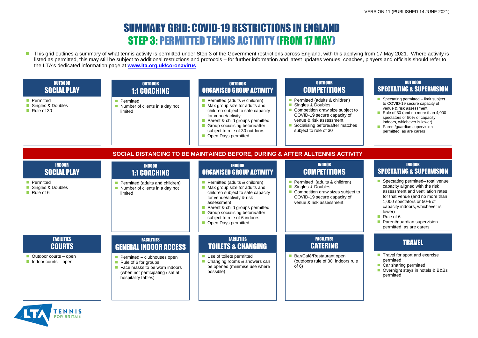## SUMMARY GRID: COVID-19 RESTRICTIONS IN ENGLAND STEP 3: PERMITTED TENNIS ACTIVITY (FROM 17 MAY)

■ This grid outlines a summary of what tennis activity is permitted under Step 3 of the Government restrictions across England, with this applying from 17 May 2021. Where activity is listed as permitted, this may still be subject to additional restrictions and protocols – for further information and latest updates venues, coaches, players and officials should refer to the LTA's dedicated information page at **[www.lta.org.uk/coronavirus](http://www.lta.org.uk/coronavirus)**



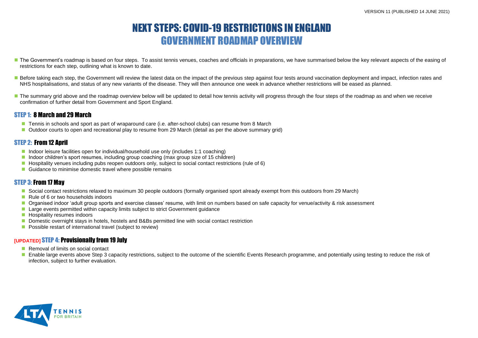#### VERSION 11 (PUBLISHED 14 JUNE 2021)

### NEXT STEPS: COVID-19 RESTRICTIONS IN ENGLAND GOVERNMENT ROADMAP OVERVIEW

- The Government's roadmap is based on four steps. To assist tennis venues, coaches and officials in preparations, we have summarised below the key relevant aspects of the easing of restrictions for each step, outlining what is known to date.
- Before taking each step, the Government will review the latest data on the impact of the previous step against four tests around vaccination deployment and impact, infection rates and NHS hospitalisations, and status of any new variants of the disease. They will then announce one week in advance whether restrictions will be eased as planned.
- The summary grid above and the roadmap overview below will be updated to detail how tennis activity will progress through the four steps of the roadmap as and when we receive confirmation of further detail from Government and Sport England.

#### STEP 1: 8 March and 29 March

- Tennis in schools and sport as part of wraparound care (i.e. after-school clubs) can resume from 8 March
- Outdoor courts to open and recreational play to resume from 29 March (detail as per the above summary grid)

#### STEP 2: From 12 Anril

- Indoor leisure facilities open for individual/household use only (includes 1:1 coaching)
- Indoor children's sport resumes, including group coaching (max group size of 15 children)
- Hospitality venues including pubs reopen outdoors only, subject to social contact restrictions (rule of 6)
- Guidance to minimise domestic travel where possible remains

- Removal of limits on social contact
- Enable large events above Step 3 capacity restrictions, subject to the outcome of the scientific Events Research programme, and potentially using testing to reduce the risk of infection, subject to further evaluation.



### STEP 3: From 17 May

- Social contact restrictions relaxed to maximum 30 people outdoors (formally organised sport already exempt from this outdoors from 29 March)
- Rule of 6 or two households indoors
- Organised indoor 'adult group sports and exercise classes' resume, with limit on numbers based on safe capacity for venue/activity & risk assessment
- **Large events permitted within capacity limits subject to strict Government guidance**
- **Hospitality resumes indoors**
- Domestic overnight stays in hotels, hostels and B&Bs permitted line with social contact restriction
- **Possible restart of international travel (subject to review)**

#### **[UPDATED]** STEP 4: Provisionally from 19 July